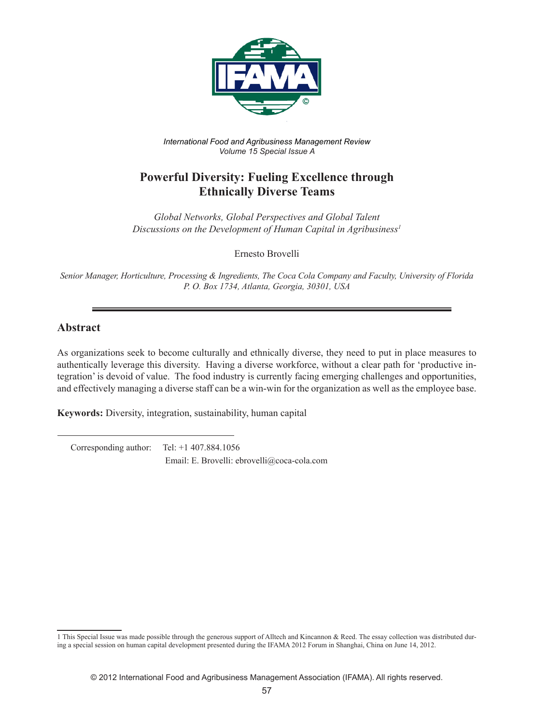

*International Food and Agribusiness Management Review Volume 15 Special Issue A*

# **Powerful Diversity: Fueling Excellence through Ethnically Diverse Teams**

*Global Networks, Global Perspectives and Global Talent Discussions on the Development of Human Capital in Agribusiness1*

Ernesto Brovelli

*Senior Manager, Horticulture, Processing & Ingredients, The Coca Cola Company and Faculty, University of Florida P. O. Box 1734, Atlanta, Georgia, 30301, USA*

### **Abstract**

As organizations seek to become culturally and ethnically diverse, they need to put in place measures to authentically leverage this diversity. Having a diverse workforce, without a clear path for 'productive integration' is devoid of value. The food industry is currently facing emerging challenges and opportunities, and effectively managing a diverse staff can be a win-win for the organization as well as the employee base.

**Keywords:** Diversity, integration, sustainability, human capital

 Corresponding author: Tel: +1 407.884.1056 Email: E. Brovelli: ebrovelli@coca-cola.com

<sup>1</sup> This Special Issue was made possible through the generous support of Alltech and Kincannon & Reed. The essay collection was distributed during a special session on human capital development presented during the IFAMA 2012 Forum in Shanghai, China on June 14, 2012.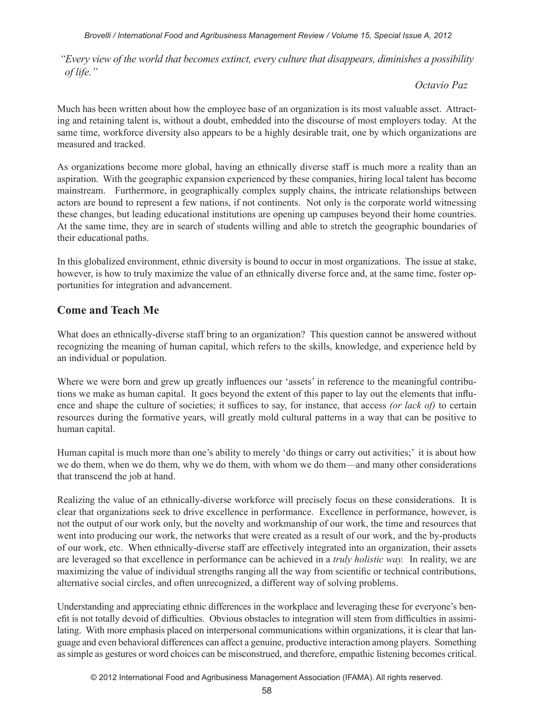*"Every view of the world that becomes extinct, every culture that disappears, diminishes a possibility of life."* 

### *Octavio Paz*

Much has been written about how the employee base of an organization is its most valuable asset. Attracting and retaining talent is, without a doubt, embedded into the discourse of most employers today. At the same time, workforce diversity also appears to be a highly desirable trait, one by which organizations are measured and tracked.

As organizations become more global, having an ethnically diverse staff is much more a reality than an aspiration. With the geographic expansion experienced by these companies, hiring local talent has become mainstream. Furthermore, in geographically complex supply chains, the intricate relationships between actors are bound to represent a few nations, if not continents. Not only is the corporate world witnessing these changes, but leading educational institutions are opening up campuses beyond their home countries. At the same time, they are in search of students willing and able to stretch the geographic boundaries of their educational paths.

In this globalized environment, ethnic diversity is bound to occur in most organizations. The issue at stake, however, is how to truly maximize the value of an ethnically diverse force and, at the same time, foster opportunities for integration and advancement.

# **Come and Teach Me**

What does an ethnically-diverse staff bring to an organization? This question cannot be answered without recognizing the meaning of human capital, which refers to the skills, knowledge, and experience held by an individual or population.

Where we were born and grew up greatly influences our 'assets' in reference to the meaningful contributions we make as human capital. It goes beyond the extent of this paper to lay out the elements that influence and shape the culture of societies; it suffices to say, for instance, that access *(or lack of)* to certain resources during the formative years, will greatly mold cultural patterns in a way that can be positive to human capital.

Human capital is much more than one's ability to merely 'do things or carry out activities;' it is about how we do them, when we do them, why we do them, with whom we do them—and many other considerations that transcend the job at hand.

Realizing the value of an ethnically-diverse workforce will precisely focus on these considerations. It is clear that organizations seek to drive excellence in performance. Excellence in performance, however, is not the output of our work only, but the novelty and workmanship of our work, the time and resources that went into producing our work, the networks that were created as a result of our work, and the by-products of our work, etc. When ethnically-diverse staff are effectively integrated into an organization, their assets are leveraged so that excellence in performance can be achieved in a *truly holistic way.* In reality, we are maximizing the value of individual strengths ranging all the way from scientific or technical contributions, alternative social circles, and often unrecognized, a different way of solving problems.

Understanding and appreciating ethnic differences in the workplace and leveraging these for everyone's benefit is not totally devoid of difficulties. Obvious obstacles to integration will stem from difficulties in assimilating. With more emphasis placed on interpersonal communications within organizations, it is clear that language and even behavioral differences can affect a genuine, productive interaction among players. Something as simple as gestures or word choices can be misconstrued, and therefore, empathic listening becomes critical.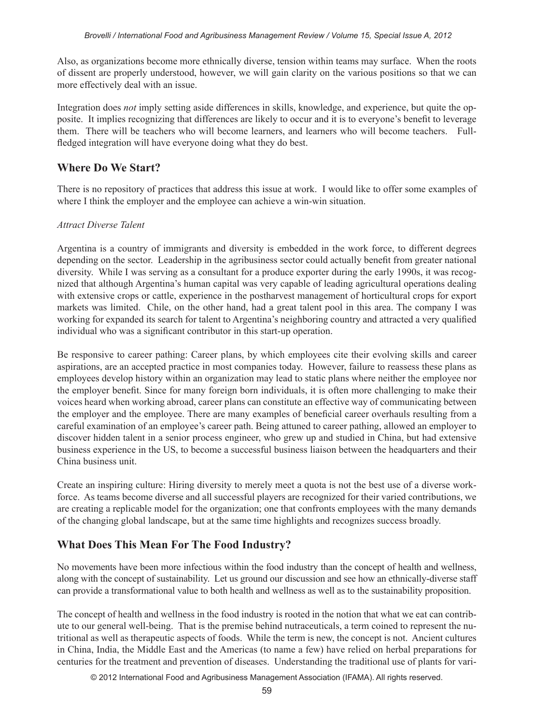Also, as organizations become more ethnically diverse, tension within teams may surface. When the roots of dissent are properly understood, however, we will gain clarity on the various positions so that we can more effectively deal with an issue.

Integration does *not* imply setting aside differences in skills, knowledge, and experience, but quite the opposite. It implies recognizing that differences are likely to occur and it is to everyone's benefit to leverage them. There will be teachers who will become learners, and learners who will become teachers. Fullfledged integration will have everyone doing what they do best.

# **Where Do We Start?**

There is no repository of practices that address this issue at work. I would like to offer some examples of where I think the employer and the employee can achieve a win-win situation.

#### *Attract Diverse Talent*

Argentina is a country of immigrants and diversity is embedded in the work force, to different degrees depending on the sector. Leadership in the agribusiness sector could actually benefit from greater national diversity. While I was serving as a consultant for a produce exporter during the early 1990s, it was recognized that although Argentina's human capital was very capable of leading agricultural operations dealing with extensive crops or cattle, experience in the postharvest management of horticultural crops for export markets was limited. Chile, on the other hand, had a great talent pool in this area. The company I was working for expanded its search for talent to Argentina's neighboring country and attracted a very qualified individual who was a significant contributor in this start-up operation.

Be responsive to career pathing: Career plans, by which employees cite their evolving skills and career aspirations, are an accepted practice in most companies today. However, failure to reassess these plans as employees develop history within an organization may lead to static plans where neither the employee nor the employer benefit. Since for many foreign born individuals, it is often more challenging to make their voices heard when working abroad, career plans can constitute an effective way of communicating between the employer and the employee. There are many examples of beneficial career overhauls resulting from a careful examination of an employee's career path. Being attuned to career pathing, allowed an employer to discover hidden talent in a senior process engineer, who grew up and studied in China, but had extensive business experience in the US, to become a successful business liaison between the headquarters and their China business unit.

Create an inspiring culture: Hiring diversity to merely meet a quota is not the best use of a diverse workforce. As teams become diverse and all successful players are recognized for their varied contributions, we are creating a replicable model for the organization; one that confronts employees with the many demands of the changing global landscape, but at the same time highlights and recognizes success broadly.

# **What Does This Mean For The Food Industry?**

No movements have been more infectious within the food industry than the concept of health and wellness, along with the concept of sustainability. Let us ground our discussion and see how an ethnically-diverse staff can provide a transformational value to both health and wellness as well as to the sustainability proposition.

The concept of health and wellness in the food industry is rooted in the notion that what we eat can contribute to our general well-being. That is the premise behind nutraceuticals, a term coined to represent the nutritional as well as therapeutic aspects of foods. While the term is new, the concept is not. Ancient cultures in China, India, the Middle East and the Americas (to name a few) have relied on herbal preparations for centuries for the treatment and prevention of diseases. Understanding the traditional use of plants for vari-

© 2012 International Food and Agribusiness Management Association (IFAMA). All rights reserved.